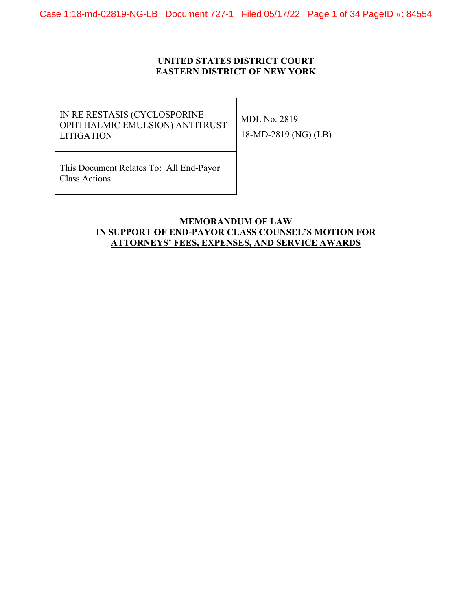Case 1:18-md-02819-NG-LB Document 727-1 Filed 05/17/22 Page 1 of 34 PageID #: 84554

# **UNITED STATES DISTRICT COURT EASTERN DISTRICT OF NEW YORK**

IN RE RESTASIS (CYCLOSPORINE OPHTHALMIC EMULSION) ANTITRUST LITIGATION

MDL No. 2819 18-MD-2819 (NG) (LB)

This Document Relates To: All End-Payor Class Actions

# **MEMORANDUM OF LAW IN SUPPORT OF END-PAYOR CLASS COUNSEL'S MOTION FOR ATTORNEYS' FEES, EXPENSES, AND SERVICE AWARDS**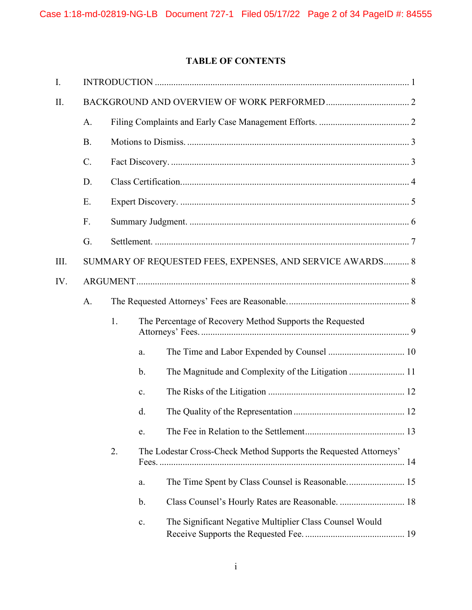# **TABLE OF CONTENTS**

| I.   |           |    |                                                                   |  |  |  |
|------|-----------|----|-------------------------------------------------------------------|--|--|--|
| II.  |           |    |                                                                   |  |  |  |
|      | A.        |    |                                                                   |  |  |  |
|      | <b>B.</b> |    |                                                                   |  |  |  |
|      | $C$ .     |    |                                                                   |  |  |  |
|      | D.        |    |                                                                   |  |  |  |
|      | E.        |    |                                                                   |  |  |  |
|      | F.        |    |                                                                   |  |  |  |
|      | G.        |    |                                                                   |  |  |  |
| III. |           |    | SUMMARY OF REQUESTED FEES, EXPENSES, AND SERVICE AWARDS 8         |  |  |  |
| IV.  |           |    |                                                                   |  |  |  |
|      | A.        |    |                                                                   |  |  |  |
|      |           | 1. | The Percentage of Recovery Method Supports the Requested          |  |  |  |
|      |           |    | a.                                                                |  |  |  |
|      |           |    | b.                                                                |  |  |  |
|      |           |    | c.                                                                |  |  |  |
|      |           |    | d.                                                                |  |  |  |
|      |           |    | e.                                                                |  |  |  |
|      |           | 2. | The Lodestar Cross-Check Method Supports the Requested Attorneys' |  |  |  |
|      |           |    | a.                                                                |  |  |  |
|      |           |    | b.                                                                |  |  |  |
|      |           |    | The Significant Negative Multiplier Class Counsel Would<br>c.     |  |  |  |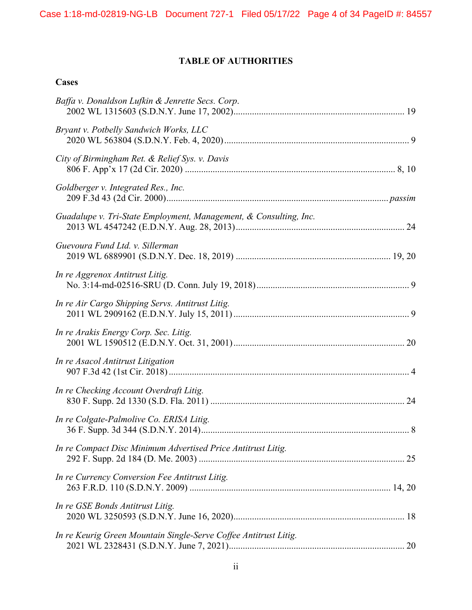# **TABLE OF AUTHORITIES**

# **Cases**

| Baffa v. Donaldson Lufkin & Jenrette Secs. Corp.                  |  |
|-------------------------------------------------------------------|--|
| Bryant v. Potbelly Sandwich Works, LLC                            |  |
| City of Birmingham Ret. & Relief Sys. v. Davis                    |  |
| Goldberger v. Integrated Res., Inc.                               |  |
| Guadalupe v. Tri-State Employment, Management, & Consulting, Inc. |  |
| Guevoura Fund Ltd. v. Sillerman                                   |  |
| In re Aggrenox Antitrust Litig.                                   |  |
| In re Air Cargo Shipping Servs. Antitrust Litig.                  |  |
| In re Arakis Energy Corp. Sec. Litig.                             |  |
| In re Asacol Antitrust Litigation                                 |  |
| In re Checking Account Overdraft Litig.                           |  |
| In re Colgate-Palmolive Co. ERISA Litig.                          |  |
| In re Compact Disc Minimum Advertised Price Antitrust Litig.      |  |
| In re Currency Conversion Fee Antitrust Litig.                    |  |
| In re GSE Bonds Antitrust Litig.                                  |  |
| In re Keurig Green Mountain Single-Serve Coffee Antitrust Litig.  |  |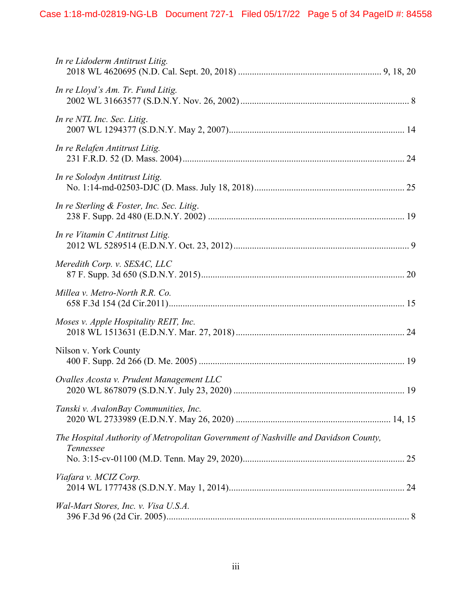| In re Lidoderm Antitrust Litig.                                                                  |
|--------------------------------------------------------------------------------------------------|
| In re Lloyd's Am. Tr. Fund Litig.                                                                |
| In re NTL Inc. Sec. Litig.                                                                       |
| In re Relafen Antitrust Litig.                                                                   |
| In re Solodyn Antitrust Litig.                                                                   |
| In re Sterling & Foster, Inc. Sec. Litig.                                                        |
| In re Vitamin C Antitrust Litig.                                                                 |
| Meredith Corp. v. SESAC, LLC                                                                     |
| Millea v. Metro-North R.R. Co.                                                                   |
| Moses v. Apple Hospitality REIT, Inc.                                                            |
| Nilson v. York County                                                                            |
| Ovalles Acosta v. Prudent Management LLC                                                         |
| Tanski v. AvalonBay Communities, Inc.                                                            |
| The Hospital Authority of Metropolitan Government of Nashville and Davidson County,<br>Tennessee |
| Viafara v. MCIZ Corp.                                                                            |
| Wal-Mart Stores, Inc. v. Visa U.S.A.                                                             |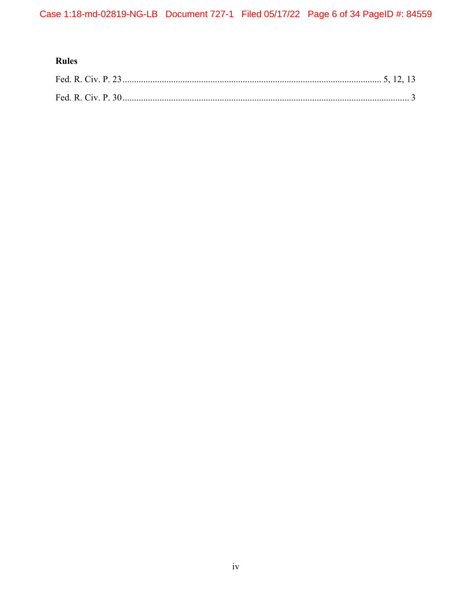# Rules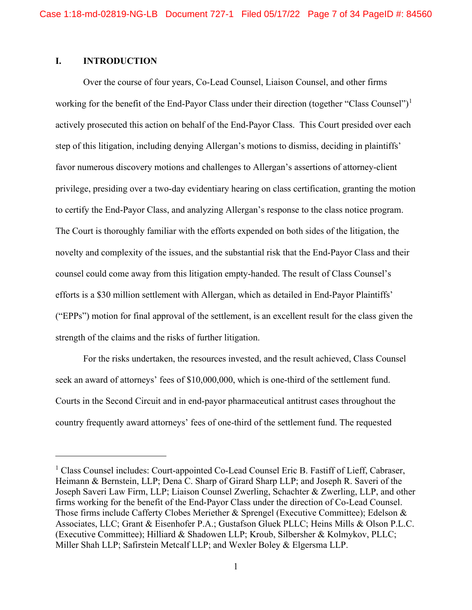# <span id="page-6-0"></span>**I. INTRODUCTION**

Over the course of four years, Co-Lead Counsel, Liaison Counsel, and other firms working for the benefit of the End-Payor Class under their direction (together "Class Counsel")<sup>[1](#page-6-1)</sup> actively prosecuted this action on behalf of the End-Payor Class. This Court presided over each step of this litigation, including denying Allergan's motions to dismiss, deciding in plaintiffs' favor numerous discovery motions and challenges to Allergan's assertions of attorney-client privilege, presiding over a two-day evidentiary hearing on class certification, granting the motion to certify the End-Payor Class, and analyzing Allergan's response to the class notice program. The Court is thoroughly familiar with the efforts expended on both sides of the litigation, the novelty and complexity of the issues, and the substantial risk that the End-Payor Class and their counsel could come away from this litigation empty-handed. The result of Class Counsel's efforts is a \$30 million settlement with Allergan, which as detailed in End-Payor Plaintiffs' ("EPPs") motion for final approval of the settlement, is an excellent result for the class given the strength of the claims and the risks of further litigation.

For the risks undertaken, the resources invested, and the result achieved, Class Counsel seek an award of attorneys' fees of \$10,000,000, which is one-third of the settlement fund. Courts in the Second Circuit and in end-payor pharmaceutical antitrust cases throughout the country frequently award attorneys' fees of one-third of the settlement fund. The requested

<span id="page-6-1"></span><sup>&</sup>lt;sup>1</sup> Class Counsel includes: Court-appointed Co-Lead Counsel Eric B. Fastiff of Lieff, Cabraser, Heimann & Bernstein, LLP; Dena C. Sharp of Girard Sharp LLP; and Joseph R. Saveri of the Joseph Saveri Law Firm, LLP; Liaison Counsel Zwerling, Schachter & Zwerling, LLP, and other firms working for the benefit of the End-Payor Class under the direction of Co-Lead Counsel. Those firms include Cafferty Clobes Meriether & Sprengel (Executive Committee); Edelson & Associates, LLC; Grant & Eisenhofer P.A.; Gustafson Gluek PLLC; Heins Mills & Olson P.L.C. (Executive Committee); Hilliard & Shadowen LLP; Kroub, Silbersher & Kolmykov, PLLC; Miller Shah LLP; Safirstein Metcalf LLP; and Wexler Boley & Elgersma LLP.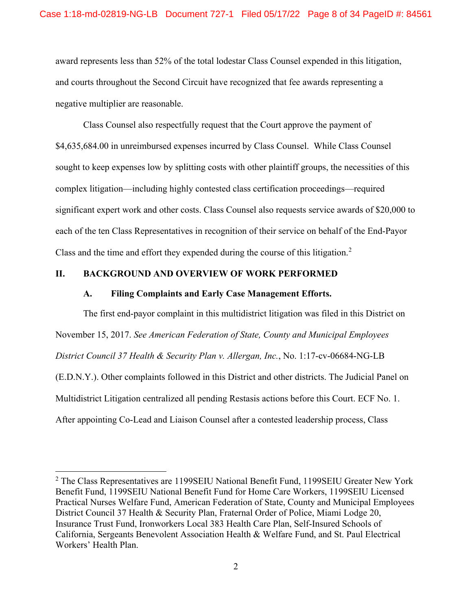award represents less than 52% of the total lodestar Class Counsel expended in this litigation, and courts throughout the Second Circuit have recognized that fee awards representing a negative multiplier are reasonable.

Class Counsel also respectfully request that the Court approve the payment of \$4,635,684.00 in unreimbursed expenses incurred by Class Counsel. While Class Counsel sought to keep expenses low by splitting costs with other plaintiff groups, the necessities of this complex litigation—including highly contested class certification proceedings—required significant expert work and other costs. Class Counsel also requests service awards of \$20,000 to each of the ten Class Representatives in recognition of their service on behalf of the End-Payor Class and the time and effort they expended during the course of this litigation. [2](#page-7-2)

# <span id="page-7-1"></span><span id="page-7-0"></span>**II. BACKGROUND AND OVERVIEW OF WORK PERFORMED**

#### **A. Filing Complaints and Early Case Management Efforts.**

The first end-payor complaint in this multidistrict litigation was filed in this District on November 15, 2017. *See American Federation of State, County and Municipal Employees District Council 37 Health & Security Plan v. Allergan, Inc.*, No. 1:17-cv-06684-NG-LB (E.D.N.Y.). Other complaints followed in this District and other districts. The Judicial Panel on Multidistrict Litigation centralized all pending Restasis actions before this Court. ECF No. 1. After appointing Co-Lead and Liaison Counsel after a contested leadership process, Class

<span id="page-7-2"></span> $2$  The Class Representatives are 1199SEIU National Benefit Fund, 1199SEIU Greater New York Benefit Fund, 1199SEIU National Benefit Fund for Home Care Workers, 1199SEIU Licensed Practical Nurses Welfare Fund, American Federation of State, County and Municipal Employees District Council 37 Health & Security Plan, Fraternal Order of Police, Miami Lodge 20, Insurance Trust Fund, Ironworkers Local 383 Health Care Plan, Self-Insured Schools of California, Sergeants Benevolent Association Health & Welfare Fund, and St. Paul Electrical Workers' Health Plan.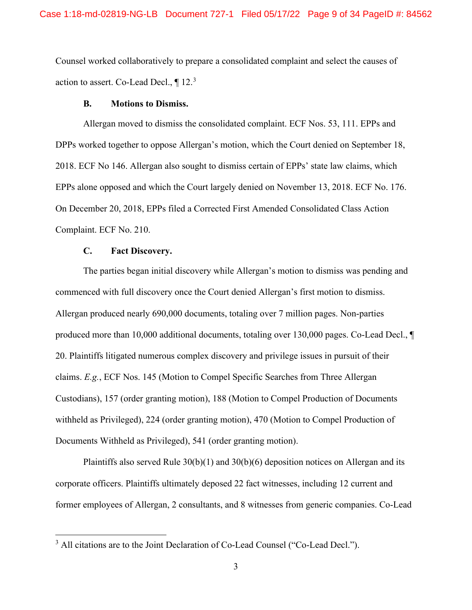Counsel worked collaboratively to prepare a consolidated complaint and select the causes of action to assert. Co-Lead Decl.,  $\P$  12.<sup>[3](#page-8-2)</sup>

#### **B. Motions to Dismiss.**

<span id="page-8-0"></span>Allergan moved to dismiss the consolidated complaint. ECF Nos. 53, 111. EPPs and DPPs worked together to oppose Allergan's motion, which the Court denied on September 18, 2018. ECF No 146. Allergan also sought to dismiss certain of EPPs' state law claims, which EPPs alone opposed and which the Court largely denied on November 13, 2018. ECF No. 176. On December 20, 2018, EPPs filed a Corrected First Amended Consolidated Class Action Complaint. ECF No. 210.

# **C. Fact Discovery.**

<span id="page-8-1"></span>The parties began initial discovery while Allergan's motion to dismiss was pending and commenced with full discovery once the Court denied Allergan's first motion to dismiss. Allergan produced nearly 690,000 documents, totaling over 7 million pages. Non-parties produced more than 10,000 additional documents, totaling over 130,000 pages. Co-Lead Decl., ¶ 20. Plaintiffs litigated numerous complex discovery and privilege issues in pursuit of their claims. *E.g.*, ECF Nos. 145 (Motion to Compel Specific Searches from Three Allergan Custodians), 157 (order granting motion), 188 (Motion to Compel Production of Documents withheld as Privileged), 224 (order granting motion), 470 (Motion to Compel Production of Documents Withheld as Privileged), 541 (order granting motion).

Plaintiffs also served Rule  $30(b)(1)$  and  $30(b)(6)$  deposition notices on Allergan and its corporate officers. Plaintiffs ultimately deposed 22 fact witnesses, including 12 current and former employees of Allergan, 2 consultants, and 8 witnesses from generic companies. Co-Lead

<span id="page-8-2"></span><sup>&</sup>lt;sup>3</sup> All citations are to the Joint Declaration of Co-Lead Counsel ("Co-Lead Decl.").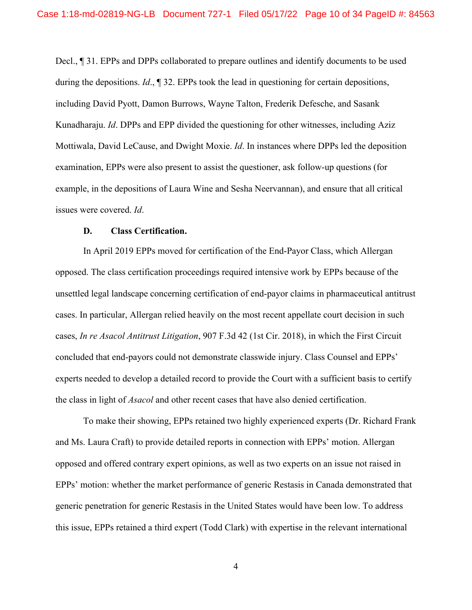Decl., ¶ 31. EPPs and DPPs collaborated to prepare outlines and identify documents to be used during the depositions. *Id*., ¶ 32. EPPs took the lead in questioning for certain depositions, including David Pyott, Damon Burrows, Wayne Talton, Frederik Defesche, and Sasank Kunadharaju. *Id*. DPPs and EPP divided the questioning for other witnesses, including Aziz Mottiwala, David LeCause, and Dwight Moxie. *Id*. In instances where DPPs led the deposition examination, EPPs were also present to assist the questioner, ask follow-up questions (for example, in the depositions of Laura Wine and Sesha Neervannan), and ensure that all critical issues were covered. *Id*.

#### **D. Class Certification.**

<span id="page-9-0"></span>In April 2019 EPPs moved for certification of the End-Payor Class, which Allergan opposed. The class certification proceedings required intensive work by EPPs because of the unsettled legal landscape concerning certification of end-payor claims in pharmaceutical antitrust cases. In particular, Allergan relied heavily on the most recent appellate court decision in such cases, *In re Asacol Antitrust Litigation*, 907 F.3d 42 (1st Cir. 2018), in which the First Circuit concluded that end-payors could not demonstrate classwide injury. Class Counsel and EPPs' experts needed to develop a detailed record to provide the Court with a sufficient basis to certify the class in light of *Asacol* and other recent cases that have also denied certification.

To make their showing, EPPs retained two highly experienced experts (Dr. Richard Frank and Ms. Laura Craft) to provide detailed reports in connection with EPPs' motion. Allergan opposed and offered contrary expert opinions, as well as two experts on an issue not raised in EPPs' motion: whether the market performance of generic Restasis in Canada demonstrated that generic penetration for generic Restasis in the United States would have been low. To address this issue, EPPs retained a third expert (Todd Clark) with expertise in the relevant international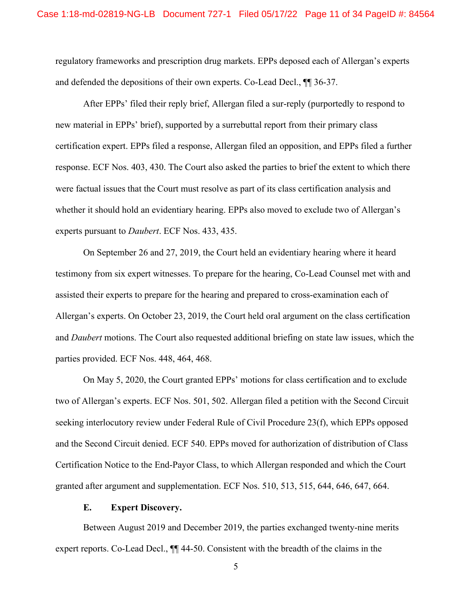regulatory frameworks and prescription drug markets. EPPs deposed each of Allergan's experts and defended the depositions of their own experts. Co-Lead Decl., ¶¶ 36-37.

After EPPs' filed their reply brief, Allergan filed a sur-reply (purportedly to respond to new material in EPPs' brief), supported by a surrebuttal report from their primary class certification expert. EPPs filed a response, Allergan filed an opposition, and EPPs filed a further response. ECF Nos. 403, 430. The Court also asked the parties to brief the extent to which there were factual issues that the Court must resolve as part of its class certification analysis and whether it should hold an evidentiary hearing. EPPs also moved to exclude two of Allergan's experts pursuant to *Daubert*. ECF Nos. 433, 435.

On September 26 and 27, 2019, the Court held an evidentiary hearing where it heard testimony from six expert witnesses. To prepare for the hearing, Co-Lead Counsel met with and assisted their experts to prepare for the hearing and prepared to cross-examination each of Allergan's experts. On October 23, 2019, the Court held oral argument on the class certification and *Daubert* motions. The Court also requested additional briefing on state law issues, which the parties provided. ECF Nos. 448, 464, 468.

On May 5, 2020, the Court granted EPPs' motions for class certification and to exclude two of Allergan's experts. ECF Nos. 501, 502. Allergan filed a petition with the Second Circuit seeking interlocutory review under Federal Rule of Civil Procedure 23(f), which EPPs opposed and the Second Circuit denied. ECF 540. EPPs moved for authorization of distribution of Class Certification Notice to the End-Payor Class, to which Allergan responded and which the Court granted after argument and supplementation. ECF Nos. 510, 513, 515, 644, 646, 647, 664.

#### **E. Expert Discovery.**

<span id="page-10-0"></span>Between August 2019 and December 2019, the parties exchanged twenty-nine merits expert reports. Co-Lead Decl., ¶¶ 44-50. Consistent with the breadth of the claims in the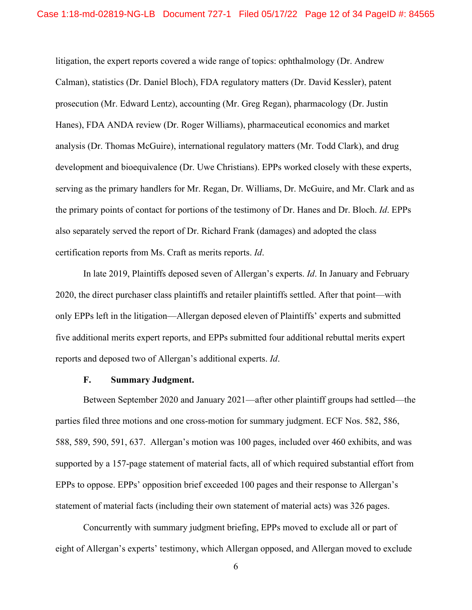litigation, the expert reports covered a wide range of topics: ophthalmology (Dr. Andrew Calman), statistics (Dr. Daniel Bloch), FDA regulatory matters (Dr. David Kessler), patent prosecution (Mr. Edward Lentz), accounting (Mr. Greg Regan), pharmacology (Dr. Justin Hanes), FDA ANDA review (Dr. Roger Williams), pharmaceutical economics and market analysis (Dr. Thomas McGuire), international regulatory matters (Mr. Todd Clark), and drug development and bioequivalence (Dr. Uwe Christians). EPPs worked closely with these experts, serving as the primary handlers for Mr. Regan, Dr. Williams, Dr. McGuire, and Mr. Clark and as the primary points of contact for portions of the testimony of Dr. Hanes and Dr. Bloch. *Id*. EPPs also separately served the report of Dr. Richard Frank (damages) and adopted the class certification reports from Ms. Craft as merits reports. *Id*.

In late 2019, Plaintiffs deposed seven of Allergan's experts. *Id*. In January and February 2020, the direct purchaser class plaintiffs and retailer plaintiffs settled. After that point—with only EPPs left in the litigation—Allergan deposed eleven of Plaintiffs' experts and submitted five additional merits expert reports, and EPPs submitted four additional rebuttal merits expert reports and deposed two of Allergan's additional experts. *Id*.

#### **F. Summary Judgment.**

<span id="page-11-0"></span>Between September 2020 and January 2021—after other plaintiff groups had settled—the parties filed three motions and one cross-motion for summary judgment. ECF Nos. 582, 586, 588, 589, 590, 591, 637. Allergan's motion was 100 pages, included over 460 exhibits, and was supported by a 157-page statement of material facts, all of which required substantial effort from EPPs to oppose. EPPs' opposition brief exceeded 100 pages and their response to Allergan's statement of material facts (including their own statement of material acts) was 326 pages.

Concurrently with summary judgment briefing, EPPs moved to exclude all or part of eight of Allergan's experts' testimony, which Allergan opposed, and Allergan moved to exclude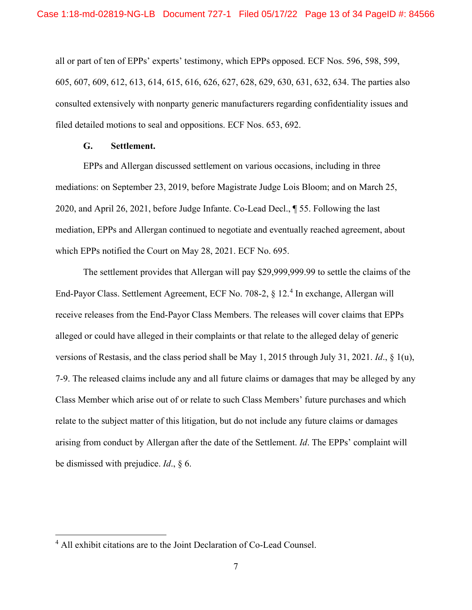all or part of ten of EPPs' experts' testimony, which EPPs opposed. ECF Nos. 596, 598, 599, 605, 607, 609, 612, 613, 614, 615, 616, 626, 627, 628, 629, 630, 631, 632, 634. The parties also consulted extensively with nonparty generic manufacturers regarding confidentiality issues and filed detailed motions to seal and oppositions. ECF Nos. 653, 692.

# **G. Settlement.**

<span id="page-12-0"></span>EPPs and Allergan discussed settlement on various occasions, including in three mediations: on September 23, 2019, before Magistrate Judge Lois Bloom; and on March 25, 2020, and April 26, 2021, before Judge Infante. Co-Lead Decl., ¶ 55. Following the last mediation, EPPs and Allergan continued to negotiate and eventually reached agreement, about which EPPs notified the Court on May 28, 2021. ECF No. 695.

The settlement provides that Allergan will pay \$29,999,999.99 to settle the claims of the End-Payor Class. Settlement Agreement, ECF No. 708-2, § 12. [4](#page-12-1) In exchange, Allergan will receive releases from the End-Payor Class Members. The releases will cover claims that EPPs alleged or could have alleged in their complaints or that relate to the alleged delay of generic versions of Restasis, and the class period shall be May 1, 2015 through July 31, 2021. *Id*., § 1(u), 7-9. The released claims include any and all future claims or damages that may be alleged by any Class Member which arise out of or relate to such Class Members' future purchases and which relate to the subject matter of this litigation, but do not include any future claims or damages arising from conduct by Allergan after the date of the Settlement. *Id*. The EPPs' complaint will be dismissed with prejudice. *Id*., § 6.

<span id="page-12-1"></span><sup>4</sup> All exhibit citations are to the Joint Declaration of Co-Lead Counsel.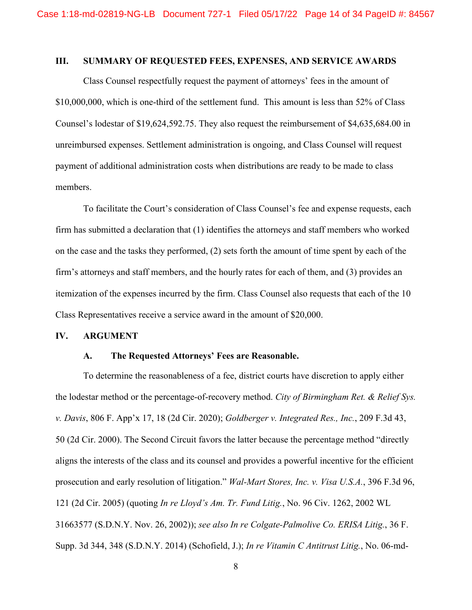#### <span id="page-13-0"></span>**III. SUMMARY OF REQUESTED FEES, EXPENSES, AND SERVICE AWARDS**

Class Counsel respectfully request the payment of attorneys' fees in the amount of \$10,000,000, which is one-third of the settlement fund. This amount is less than 52% of Class Counsel's lodestar of \$19,624,592.75. They also request the reimbursement of \$4,635,684.00 in unreimbursed expenses. Settlement administration is ongoing, and Class Counsel will request payment of additional administration costs when distributions are ready to be made to class members.

To facilitate the Court's consideration of Class Counsel's fee and expense requests, each firm has submitted a declaration that (1) identifies the attorneys and staff members who worked on the case and the tasks they performed, (2) sets forth the amount of time spent by each of the firm's attorneys and staff members, and the hourly rates for each of them, and (3) provides an itemization of the expenses incurred by the firm. Class Counsel also requests that each of the 10 Class Representatives receive a service award in the amount of \$20,000.

# <span id="page-13-2"></span><span id="page-13-1"></span>**IV. ARGUMENT**

## **A. The Requested Attorneys' Fees are Reasonable.**

To determine the reasonableness of a fee, district courts have discretion to apply either the lodestar method or the percentage-of-recovery method. *City of Birmingham Ret. & Relief Sys. v. Davis*, 806 F. App'x 17, 18 (2d Cir. 2020); *Goldberger v. Integrated Res., Inc.*, 209 F.3d 43, 50 (2d Cir. 2000). The Second Circuit favors the latter because the percentage method "directly aligns the interests of the class and its counsel and provides a powerful incentive for the efficient prosecution and early resolution of litigation." *Wal-Mart Stores, Inc. v. Visa U.S.A.*, 396 F.3d 96, 121 (2d Cir. 2005) (quoting *In re Lloyd's Am. Tr. Fund Litig.*, No. 96 Civ. 1262, 2002 WL 31663577 (S.D.N.Y. Nov. 26, 2002)); *see also In re Colgate-Palmolive Co. ERISA Litig.*, 36 F. Supp. 3d 344, 348 (S.D.N.Y. 2014) (Schofield, J.); *In re Vitamin C Antitrust Litig.*, No. 06-md-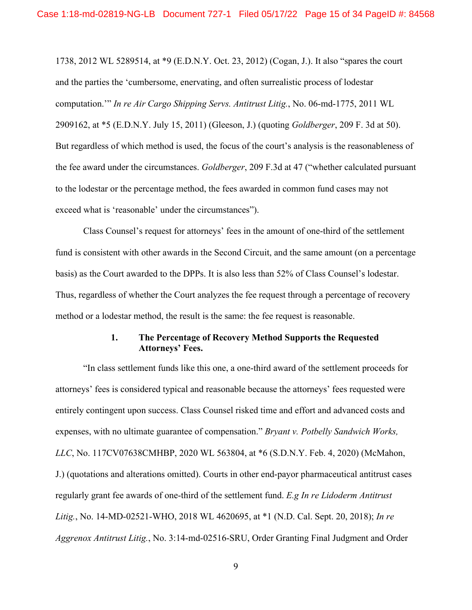1738, 2012 WL 5289514, at \*9 (E.D.N.Y. Oct. 23, 2012) (Cogan, J.). It also "spares the court and the parties the 'cumbersome, enervating, and often surrealistic process of lodestar computation.'" *In re Air Cargo Shipping Servs. Antitrust Litig.*, No. 06-md-1775, 2011 WL 2909162, at \*5 (E.D.N.Y. July 15, 2011) (Gleeson, J.) (quoting *Goldberger*, 209 F. 3d at 50). But regardless of which method is used, the focus of the court's analysis is the reasonableness of the fee award under the circumstances. *Goldberger*, 209 F.3d at 47 ("whether calculated pursuant to the lodestar or the percentage method, the fees awarded in common fund cases may not exceed what is 'reasonable' under the circumstances").

Class Counsel's request for attorneys' fees in the amount of one-third of the settlement fund is consistent with other awards in the Second Circuit, and the same amount (on a percentage basis) as the Court awarded to the DPPs. It is also less than 52% of Class Counsel's lodestar. Thus, regardless of whether the Court analyzes the fee request through a percentage of recovery method or a lodestar method, the result is the same: the fee request is reasonable.

# **1. The Percentage of Recovery Method Supports the Requested Attorneys' Fees.**

<span id="page-14-0"></span>"In class settlement funds like this one, a one-third award of the settlement proceeds for attorneys' fees is considered typical and reasonable because the attorneys' fees requested were entirely contingent upon success. Class Counsel risked time and effort and advanced costs and expenses, with no ultimate guarantee of compensation." *Bryant v. Potbelly Sandwich Works, LLC*, No. 117CV07638CMHBP, 2020 WL 563804, at \*6 (S.D.N.Y. Feb. 4, 2020) (McMahon, J.) (quotations and alterations omitted). Courts in other end-payor pharmaceutical antitrust cases regularly grant fee awards of one-third of the settlement fund. *E.g In re Lidoderm Antitrust Litig.*, No. 14-MD-02521-WHO, 2018 WL 4620695, at \*1 (N.D. Cal. Sept. 20, 2018); *In re Aggrenox Antitrust Litig.*, No. 3:14-md-02516-SRU, Order Granting Final Judgment and Order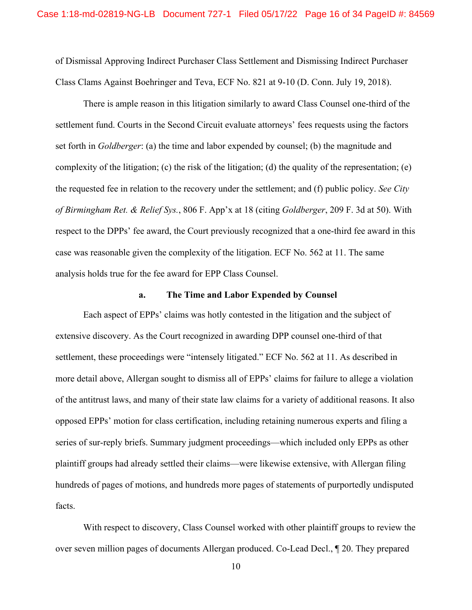of Dismissal Approving Indirect Purchaser Class Settlement and Dismissing Indirect Purchaser Class Clams Against Boehringer and Teva, ECF No. 821 at 9-10 (D. Conn. July 19, 2018).

There is ample reason in this litigation similarly to award Class Counsel one-third of the settlement fund. Courts in the Second Circuit evaluate attorneys' fees requests using the factors set forth in *Goldberger*: (a) the time and labor expended by counsel; (b) the magnitude and complexity of the litigation; (c) the risk of the litigation; (d) the quality of the representation; (e) the requested fee in relation to the recovery under the settlement; and (f) public policy. *See City of Birmingham Ret. & Relief Sys.*, 806 F. App'x at 18 (citing *Goldberger*, 209 F. 3d at 50). With respect to the DPPs' fee award, the Court previously recognized that a one-third fee award in this case was reasonable given the complexity of the litigation. ECF No. 562 at 11. The same analysis holds true for the fee award for EPP Class Counsel.

#### **a. The Time and Labor Expended by Counsel**

<span id="page-15-0"></span>Each aspect of EPPs' claims was hotly contested in the litigation and the subject of extensive discovery. As the Court recognized in awarding DPP counsel one-third of that settlement, these proceedings were "intensely litigated." ECF No. 562 at 11. As described in more detail above, Allergan sought to dismiss all of EPPs' claims for failure to allege a violation of the antitrust laws, and many of their state law claims for a variety of additional reasons. It also opposed EPPs' motion for class certification, including retaining numerous experts and filing a series of sur-reply briefs. Summary judgment proceedings—which included only EPPs as other plaintiff groups had already settled their claims—were likewise extensive, with Allergan filing hundreds of pages of motions, and hundreds more pages of statements of purportedly undisputed facts.

With respect to discovery, Class Counsel worked with other plaintiff groups to review the over seven million pages of documents Allergan produced. Co-Lead Decl., ¶ 20. They prepared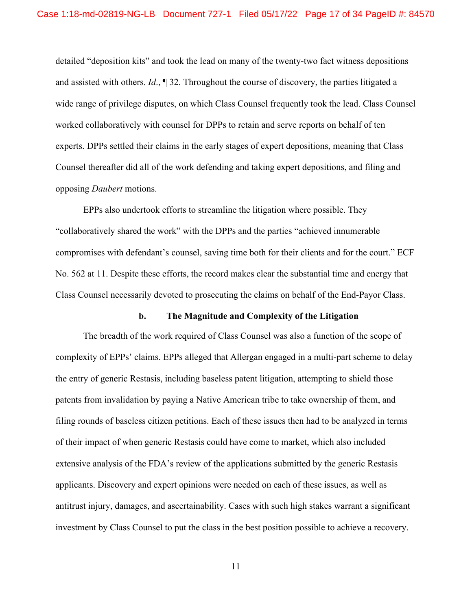detailed "deposition kits" and took the lead on many of the twenty-two fact witness depositions and assisted with others. *Id*., ¶ 32. Throughout the course of discovery, the parties litigated a wide range of privilege disputes, on which Class Counsel frequently took the lead. Class Counsel worked collaboratively with counsel for DPPs to retain and serve reports on behalf of ten experts. DPPs settled their claims in the early stages of expert depositions, meaning that Class Counsel thereafter did all of the work defending and taking expert depositions, and filing and opposing *Daubert* motions.

EPPs also undertook efforts to streamline the litigation where possible. They "collaboratively shared the work" with the DPPs and the parties "achieved innumerable compromises with defendant's counsel, saving time both for their clients and for the court." ECF No. 562 at 11. Despite these efforts, the record makes clear the substantial time and energy that Class Counsel necessarily devoted to prosecuting the claims on behalf of the End-Payor Class.

#### **b. The Magnitude and Complexity of the Litigation**

<span id="page-16-0"></span>The breadth of the work required of Class Counsel was also a function of the scope of complexity of EPPs' claims. EPPs alleged that Allergan engaged in a multi-part scheme to delay the entry of generic Restasis, including baseless patent litigation, attempting to shield those patents from invalidation by paying a Native American tribe to take ownership of them, and filing rounds of baseless citizen petitions. Each of these issues then had to be analyzed in terms of their impact of when generic Restasis could have come to market, which also included extensive analysis of the FDA's review of the applications submitted by the generic Restasis applicants. Discovery and expert opinions were needed on each of these issues, as well as antitrust injury, damages, and ascertainability. Cases with such high stakes warrant a significant investment by Class Counsel to put the class in the best position possible to achieve a recovery.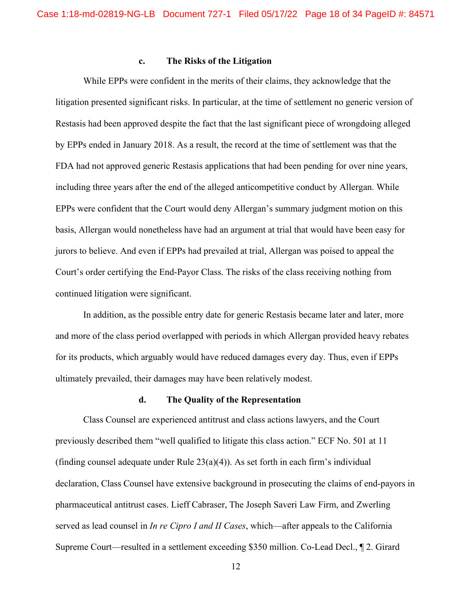#### **c. The Risks of the Litigation**

<span id="page-17-0"></span>While EPPs were confident in the merits of their claims, they acknowledge that the litigation presented significant risks. In particular, at the time of settlement no generic version of Restasis had been approved despite the fact that the last significant piece of wrongdoing alleged by EPPs ended in January 2018. As a result, the record at the time of settlement was that the FDA had not approved generic Restasis applications that had been pending for over nine years, including three years after the end of the alleged anticompetitive conduct by Allergan. While EPPs were confident that the Court would deny Allergan's summary judgment motion on this basis, Allergan would nonetheless have had an argument at trial that would have been easy for jurors to believe. And even if EPPs had prevailed at trial, Allergan was poised to appeal the Court's order certifying the End-Payor Class. The risks of the class receiving nothing from continued litigation were significant.

In addition, as the possible entry date for generic Restasis became later and later, more and more of the class period overlapped with periods in which Allergan provided heavy rebates for its products, which arguably would have reduced damages every day. Thus, even if EPPs ultimately prevailed, their damages may have been relatively modest.

# **d. The Quality of the Representation**

<span id="page-17-1"></span>Class Counsel are experienced antitrust and class actions lawyers, and the Court previously described them "well qualified to litigate this class action." ECF No. 501 at 11 (finding counsel adequate under Rule  $23(a)(4)$ ). As set forth in each firm's individual declaration, Class Counsel have extensive background in prosecuting the claims of end-payors in pharmaceutical antitrust cases. Lieff Cabraser, The Joseph Saveri Law Firm, and Zwerling served as lead counsel in *In re Cipro I and II Cases*, which—after appeals to the California Supreme Court—resulted in a settlement exceeding \$350 million. Co-Lead Decl., ¶ 2. Girard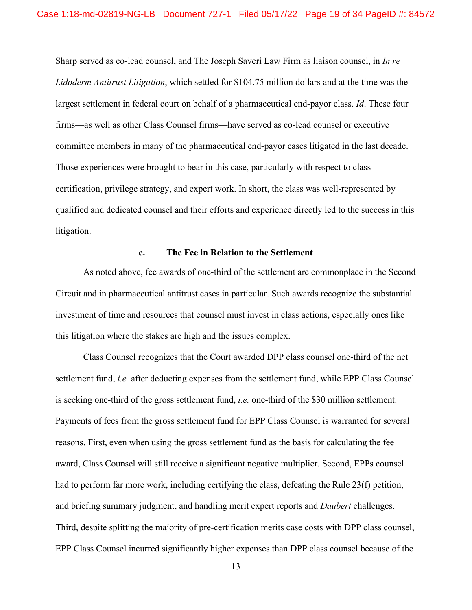Sharp served as co-lead counsel, and The Joseph Saveri Law Firm as liaison counsel, in *In re Lidoderm Antitrust Litigation*, which settled for \$104.75 million dollars and at the time was the largest settlement in federal court on behalf of a pharmaceutical end-payor class. *Id*. These four firms—as well as other Class Counsel firms—have served as co-lead counsel or executive committee members in many of the pharmaceutical end-payor cases litigated in the last decade. Those experiences were brought to bear in this case, particularly with respect to class certification, privilege strategy, and expert work. In short, the class was well-represented by qualified and dedicated counsel and their efforts and experience directly led to the success in this litigation.

#### **e. The Fee in Relation to the Settlement**

<span id="page-18-0"></span>As noted above, fee awards of one-third of the settlement are commonplace in the Second Circuit and in pharmaceutical antitrust cases in particular. Such awards recognize the substantial investment of time and resources that counsel must invest in class actions, especially ones like this litigation where the stakes are high and the issues complex.

Class Counsel recognizes that the Court awarded DPP class counsel one-third of the net settlement fund, *i.e.* after deducting expenses from the settlement fund, while EPP Class Counsel is seeking one-third of the gross settlement fund, *i.e.* one-third of the \$30 million settlement. Payments of fees from the gross settlement fund for EPP Class Counsel is warranted for several reasons. First, even when using the gross settlement fund as the basis for calculating the fee award, Class Counsel will still receive a significant negative multiplier. Second, EPPs counsel had to perform far more work, including certifying the class, defeating the Rule 23(f) petition, and briefing summary judgment, and handling merit expert reports and *Daubert* challenges. Third, despite splitting the majority of pre-certification merits case costs with DPP class counsel, EPP Class Counsel incurred significantly higher expenses than DPP class counsel because of the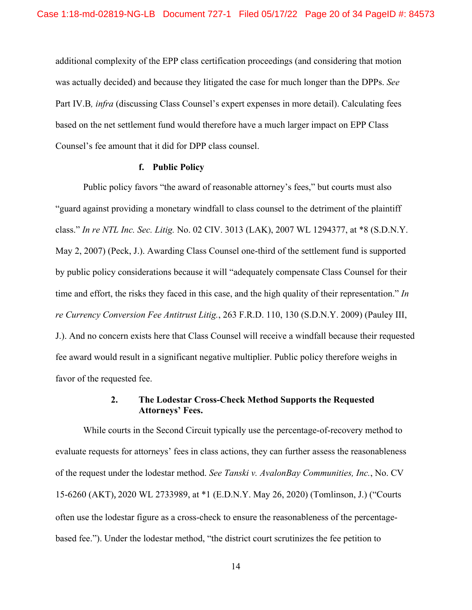additional complexity of the EPP class certification proceedings (and considering that motion was actually decided) and because they litigated the case for much longer than the DPPs. *See*  Part IV.B*, infra* (discussing Class Counsel's expert expenses in more detail). Calculating fees based on the net settlement fund would therefore have a much larger impact on EPP Class Counsel's fee amount that it did for DPP class counsel.

#### **f. Public Policy**

Public policy favors "the award of reasonable attorney's fees," but courts must also "guard against providing a monetary windfall to class counsel to the detriment of the plaintiff class." *In re NTL Inc. Sec. Litig.* No. 02 CIV. 3013 (LAK), 2007 WL 1294377, at \*8 (S.D.N.Y. May 2, 2007) (Peck, J.). Awarding Class Counsel one-third of the settlement fund is supported by public policy considerations because it will "adequately compensate Class Counsel for their time and effort, the risks they faced in this case, and the high quality of their representation." *In re Currency Conversion Fee Antitrust Litig.*, 263 F.R.D. 110, 130 (S.D.N.Y. 2009) (Pauley III, J.). And no concern exists here that Class Counsel will receive a windfall because their requested fee award would result in a significant negative multiplier. Public policy therefore weighs in favor of the requested fee.

# **2. The Lodestar Cross-Check Method Supports the Requested Attorneys' Fees.**

<span id="page-19-0"></span>While courts in the Second Circuit typically use the percentage-of-recovery method to evaluate requests for attorneys' fees in class actions, they can further assess the reasonableness of the request under the lodestar method. *See Tanski v. AvalonBay Communities, Inc.*, No. CV 15-6260 (AKT), 2020 WL 2733989, at \*1 (E.D.N.Y. May 26, 2020) (Tomlinson, J.) ("Courts often use the lodestar figure as a cross-check to ensure the reasonableness of the percentagebased fee."). Under the lodestar method, "the district court scrutinizes the fee petition to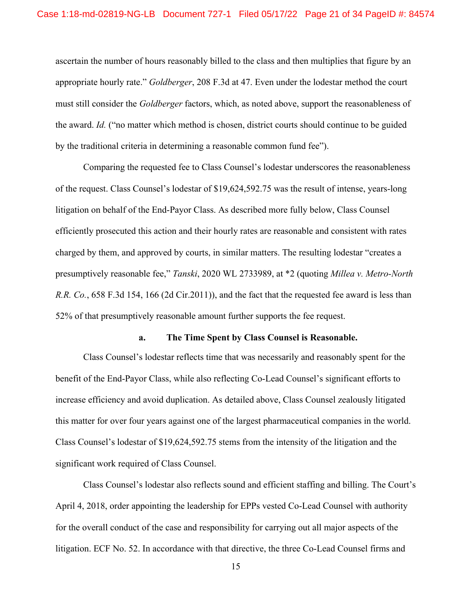ascertain the number of hours reasonably billed to the class and then multiplies that figure by an appropriate hourly rate." *Goldberger*, 208 F.3d at 47. Even under the lodestar method the court must still consider the *Goldberger* factors, which, as noted above, support the reasonableness of the award. *Id.* ("no matter which method is chosen, district courts should continue to be guided by the traditional criteria in determining a reasonable common fund fee").

Comparing the requested fee to Class Counsel's lodestar underscores the reasonableness of the request. Class Counsel's lodestar of \$19,624,592.75 was the result of intense, years-long litigation on behalf of the End-Payor Class. As described more fully below, Class Counsel efficiently prosecuted this action and their hourly rates are reasonable and consistent with rates charged by them, and approved by courts, in similar matters. The resulting lodestar "creates a presumptively reasonable fee," *Tanski*, 2020 WL 2733989, at \*2 (quoting *Millea v. Metro-North R.R. Co.*, 658 F.3d 154, 166 (2d Cir.2011)), and the fact that the requested fee award is less than 52% of that presumptively reasonable amount further supports the fee request.

#### **a. The Time Spent by Class Counsel is Reasonable.**

<span id="page-20-0"></span>Class Counsel's lodestar reflects time that was necessarily and reasonably spent for the benefit of the End-Payor Class, while also reflecting Co-Lead Counsel's significant efforts to increase efficiency and avoid duplication. As detailed above, Class Counsel zealously litigated this matter for over four years against one of the largest pharmaceutical companies in the world. Class Counsel's lodestar of \$19,624,592.75 stems from the intensity of the litigation and the significant work required of Class Counsel.

Class Counsel's lodestar also reflects sound and efficient staffing and billing. The Court's April 4, 2018, order appointing the leadership for EPPs vested Co-Lead Counsel with authority for the overall conduct of the case and responsibility for carrying out all major aspects of the litigation. ECF No. 52. In accordance with that directive, the three Co-Lead Counsel firms and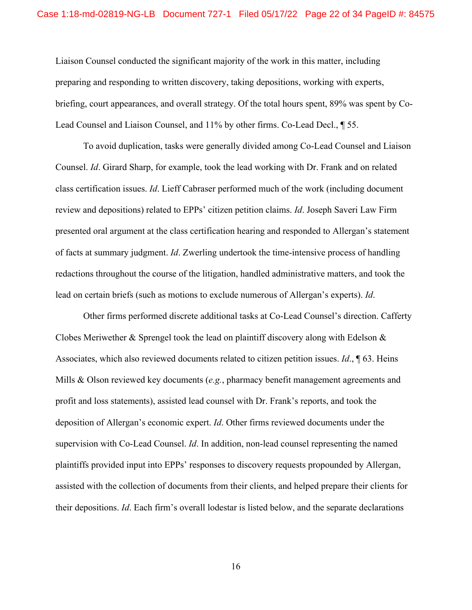Liaison Counsel conducted the significant majority of the work in this matter, including preparing and responding to written discovery, taking depositions, working with experts, briefing, court appearances, and overall strategy. Of the total hours spent, 89% was spent by Co-Lead Counsel and Liaison Counsel, and 11% by other firms. Co-Lead Decl., ¶ 55.

To avoid duplication, tasks were generally divided among Co-Lead Counsel and Liaison Counsel. *Id*. Girard Sharp, for example, took the lead working with Dr. Frank and on related class certification issues. *Id*. Lieff Cabraser performed much of the work (including document review and depositions) related to EPPs' citizen petition claims. *Id*. Joseph Saveri Law Firm presented oral argument at the class certification hearing and responded to Allergan's statement of facts at summary judgment. *Id*. Zwerling undertook the time-intensive process of handling redactions throughout the course of the litigation, handled administrative matters, and took the lead on certain briefs (such as motions to exclude numerous of Allergan's experts). *Id*.

Other firms performed discrete additional tasks at Co-Lead Counsel's direction. Cafferty Clobes Meriwether & Sprengel took the lead on plaintiff discovery along with Edelson  $\&$ Associates, which also reviewed documents related to citizen petition issues. *Id*., ¶ 63. Heins Mills & Olson reviewed key documents (*e.g.*, pharmacy benefit management agreements and profit and loss statements), assisted lead counsel with Dr. Frank's reports, and took the deposition of Allergan's economic expert. *Id*. Other firms reviewed documents under the supervision with Co-Lead Counsel. *Id*. In addition, non-lead counsel representing the named plaintiffs provided input into EPPs' responses to discovery requests propounded by Allergan, assisted with the collection of documents from their clients, and helped prepare their clients for their depositions. *Id*. Each firm's overall lodestar is listed below, and the separate declarations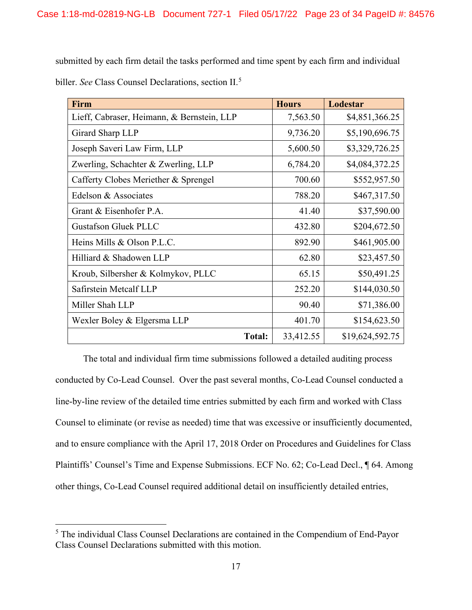submitted by each firm detail the tasks performed and time spent by each firm and individual biller. *See* Class Counsel Declarations, section II. [5](#page-22-0)

| Firm                                       | <b>Hours</b> | Lodestar        |
|--------------------------------------------|--------------|-----------------|
| Lieff, Cabraser, Heimann, & Bernstein, LLP | 7,563.50     | \$4,851,366.25  |
| Girard Sharp LLP                           | 9,736.20     | \$5,190,696.75  |
| Joseph Saveri Law Firm, LLP                | 5,600.50     | \$3,329,726.25  |
| Zwerling, Schachter & Zwerling, LLP        | 6,784.20     | \$4,084,372.25  |
| Cafferty Clobes Meriether & Sprengel       | 700.60       | \$552,957.50    |
| Edelson & Associates                       | 788.20       | \$467,317.50    |
| Grant & Eisenhofer P.A.                    | 41.40        | \$37,590.00     |
| <b>Gustafson Gluek PLLC</b>                | 432.80       | \$204,672.50    |
| Heins Mills & Olson P.L.C.                 | 892.90       | \$461,905.00    |
| Hilliard & Shadowen LLP                    | 62.80        | \$23,457.50     |
| Kroub, Silbersher & Kolmykov, PLLC         | 65.15        | \$50,491.25     |
| Safirstein Metcalf LLP                     | 252.20       | \$144,030.50    |
| Miller Shah LLP                            | 90.40        | \$71,386.00     |
| Wexler Boley & Elgersma LLP                | 401.70       | \$154,623.50    |
| <b>Total:</b>                              | 33,412.55    | \$19,624,592.75 |

The total and individual firm time submissions followed a detailed auditing process conducted by Co-Lead Counsel. Over the past several months, Co-Lead Counsel conducted a line-by-line review of the detailed time entries submitted by each firm and worked with Class Counsel to eliminate (or revise as needed) time that was excessive or insufficiently documented, and to ensure compliance with the April 17, 2018 Order on Procedures and Guidelines for Class Plaintiffs' Counsel's Time and Expense Submissions. ECF No. 62; Co-Lead Decl., ¶ 64. Among other things, Co-Lead Counsel required additional detail on insufficiently detailed entries,

<span id="page-22-0"></span><sup>&</sup>lt;sup>5</sup> The individual Class Counsel Declarations are contained in the Compendium of End-Payor Class Counsel Declarations submitted with this motion.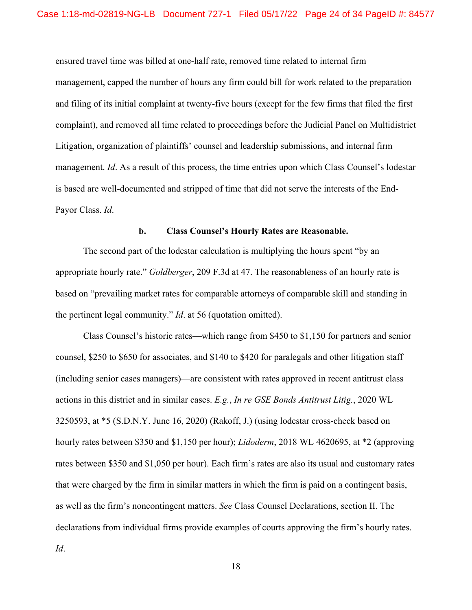ensured travel time was billed at one-half rate, removed time related to internal firm management, capped the number of hours any firm could bill for work related to the preparation and filing of its initial complaint at twenty-five hours (except for the few firms that filed the first complaint), and removed all time related to proceedings before the Judicial Panel on Multidistrict Litigation, organization of plaintiffs' counsel and leadership submissions, and internal firm management. *Id*. As a result of this process, the time entries upon which Class Counsel's lodestar is based are well-documented and stripped of time that did not serve the interests of the End-Payor Class. *Id*.

## **b. Class Counsel's Hourly Rates are Reasonable.**

<span id="page-23-0"></span>The second part of the lodestar calculation is multiplying the hours spent "by an appropriate hourly rate." *Goldberger*, 209 F.3d at 47. The reasonableness of an hourly rate is based on "prevailing market rates for comparable attorneys of comparable skill and standing in the pertinent legal community." *Id*. at 56 (quotation omitted).

Class Counsel's historic rates—which range from \$450 to \$1,150 for partners and senior counsel, \$250 to \$650 for associates, and \$140 to \$420 for paralegals and other litigation staff (including senior cases managers)—are consistent with rates approved in recent antitrust class actions in this district and in similar cases. *E.g.*, *In re GSE Bonds Antitrust Litig.*, 2020 WL 3250593, at \*5 (S.D.N.Y. June 16, 2020) (Rakoff, J.) (using lodestar cross-check based on hourly rates between \$350 and \$1,150 per hour); *Lidoderm*, 2018 WL 4620695, at \*2 (approving rates between \$350 and \$1,050 per hour). Each firm's rates are also its usual and customary rates that were charged by the firm in similar matters in which the firm is paid on a contingent basis, as well as the firm's noncontingent matters. *See* Class Counsel Declarations, section II. The declarations from individual firms provide examples of courts approving the firm's hourly rates. *Id*.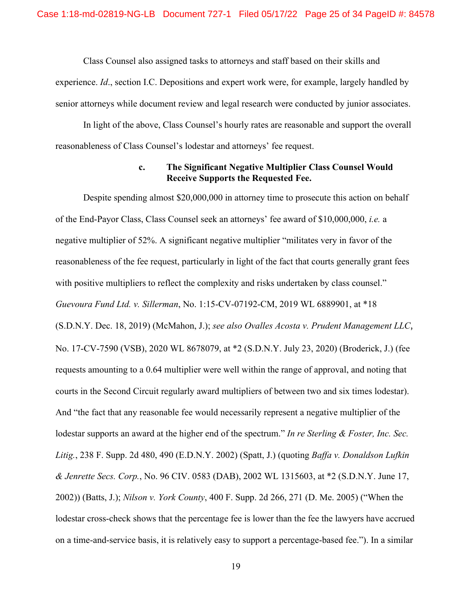Class Counsel also assigned tasks to attorneys and staff based on their skills and experience. *Id*., section I.C. Depositions and expert work were, for example, largely handled by senior attorneys while document review and legal research were conducted by junior associates.

In light of the above, Class Counsel's hourly rates are reasonable and support the overall reasonableness of Class Counsel's lodestar and attorneys' fee request.

# **c. The Significant Negative Multiplier Class Counsel Would Receive Supports the Requested Fee.**

<span id="page-24-0"></span>Despite spending almost \$20,000,000 in attorney time to prosecute this action on behalf of the End-Payor Class, Class Counsel seek an attorneys' fee award of \$10,000,000, *i.e.* a negative multiplier of 52%. A significant negative multiplier "militates very in favor of the reasonableness of the fee request, particularly in light of the fact that courts generally grant fees with positive multipliers to reflect the complexity and risks undertaken by class counsel." *Guevoura Fund Ltd. v. Sillerman*, No. 1:15-CV-07192-CM, 2019 WL 6889901, at \*18 (S.D.N.Y. Dec. 18, 2019) (McMahon, J.); *see also Ovalles Acosta v. Prudent Management LLC*, No. 17-CV-7590 (VSB), 2020 WL 8678079, at \*2 (S.D.N.Y. July 23, 2020) (Broderick, J.) (fee requests amounting to a 0.64 multiplier were well within the range of approval, and noting that courts in the Second Circuit regularly award multipliers of between two and six times lodestar). And "the fact that any reasonable fee would necessarily represent a negative multiplier of the lodestar supports an award at the higher end of the spectrum." *In re Sterling & Foster, Inc. Sec. Litig.*, 238 F. Supp. 2d 480, 490 (E.D.N.Y. 2002) (Spatt, J.) (quoting *Baffa v. Donaldson Lufkin & Jenrette Secs. Corp.*, No. 96 CIV. 0583 (DAB), 2002 WL 1315603, at \*2 (S.D.N.Y. June 17, 2002)) (Batts, J.); *Nilson v. York County*, 400 F. Supp. 2d 266, 271 (D. Me. 2005) ("When the lodestar cross-check shows that the percentage fee is lower than the fee the lawyers have accrued on a time-and-service basis, it is relatively easy to support a percentage-based fee."). In a similar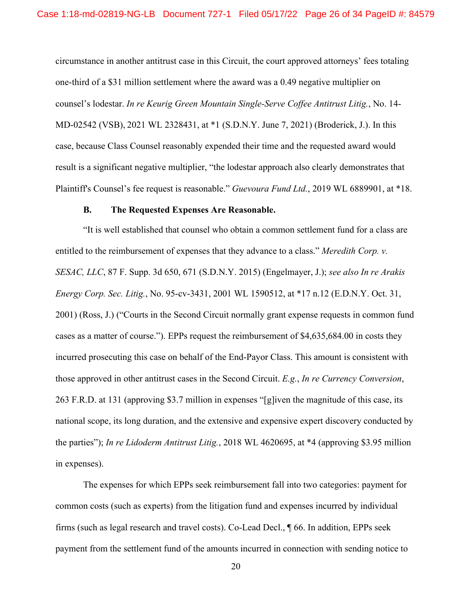circumstance in another antitrust case in this Circuit, the court approved attorneys' fees totaling one-third of a \$31 million settlement where the award was a 0.49 negative multiplier on counsel's lodestar. *In re Keurig Green Mountain Single-Serve Coffee Antitrust Litig.*, No. 14- MD-02542 (VSB), 2021 WL 2328431, at \*1 (S.D.N.Y. June 7, 2021) (Broderick, J.). In this case, because Class Counsel reasonably expended their time and the requested award would result is a significant negative multiplier, "the lodestar approach also clearly demonstrates that Plaintiff's Counsel's fee request is reasonable." *Guevoura Fund Ltd.*, 2019 WL 6889901, at \*18.

#### **B. The Requested Expenses Are Reasonable.**

<span id="page-25-0"></span>"It is well established that counsel who obtain a common settlement fund for a class are entitled to the reimbursement of expenses that they advance to a class." *Meredith Corp. v. SESAC, LLC*, 87 F. Supp. 3d 650, 671 (S.D.N.Y. 2015) (Engelmayer, J.); *see also In re Arakis Energy Corp. Sec. Litig.*, No. 95-cv-3431, 2001 WL 1590512, at \*17 n.12 (E.D.N.Y. Oct. 31, 2001) (Ross, J.) ("Courts in the Second Circuit normally grant expense requests in common fund cases as a matter of course."). EPPs request the reimbursement of \$4,635,684.00 in costs they incurred prosecuting this case on behalf of the End-Payor Class. This amount is consistent with those approved in other antitrust cases in the Second Circuit. *E.g.*, *In re Currency Conversion*, 263 F.R.D. at 131 (approving \$3.7 million in expenses "[g]iven the magnitude of this case, its national scope, its long duration, and the extensive and expensive expert discovery conducted by the parties"); *In re Lidoderm Antitrust Litig.*, 2018 WL 4620695, at \*4 (approving \$3.95 million in expenses).

The expenses for which EPPs seek reimbursement fall into two categories: payment for common costs (such as experts) from the litigation fund and expenses incurred by individual firms (such as legal research and travel costs). Co-Lead Decl., ¶ 66. In addition, EPPs seek payment from the settlement fund of the amounts incurred in connection with sending notice to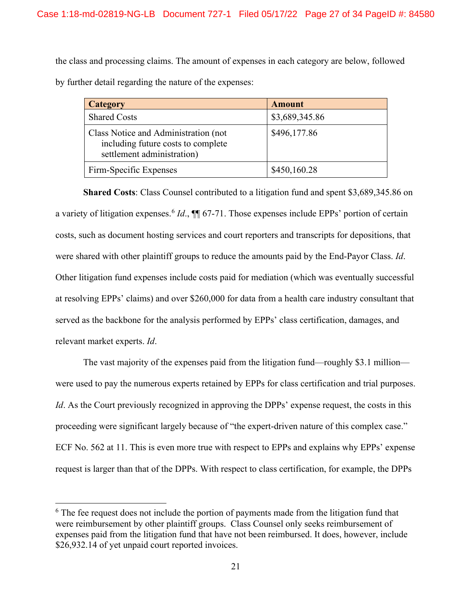the class and processing claims. The amount of expenses in each category are below, followed by further detail regarding the nature of the expenses:

| <b>Category</b>                                                                                          | <b>Amount</b>  |
|----------------------------------------------------------------------------------------------------------|----------------|
| <b>Shared Costs</b>                                                                                      | \$3,689,345.86 |
| Class Notice and Administration (not<br>including future costs to complete<br>settlement administration) | \$496,177.86   |
| Firm-Specific Expenses                                                                                   | \$450,160.28   |

**Shared Costs**: Class Counsel contributed to a litigation fund and spent \$3,689,345.86 on a variety of litigation expenses.<sup>[6](#page-26-0)</sup> *Id.*,  $\P$  67-71. Those expenses include EPPs' portion of certain costs, such as document hosting services and court reporters and transcripts for depositions, that were shared with other plaintiff groups to reduce the amounts paid by the End-Payor Class. *Id*. Other litigation fund expenses include costs paid for mediation (which was eventually successful at resolving EPPs' claims) and over \$260,000 for data from a health care industry consultant that served as the backbone for the analysis performed by EPPs' class certification, damages, and relevant market experts. *Id*.

The vast majority of the expenses paid from the litigation fund—roughly \$3.1 million were used to pay the numerous experts retained by EPPs for class certification and trial purposes. *Id*. As the Court previously recognized in approving the DPPs' expense request, the costs in this proceeding were significant largely because of "the expert-driven nature of this complex case." ECF No. 562 at 11. This is even more true with respect to EPPs and explains why EPPs' expense request is larger than that of the DPPs. With respect to class certification, for example, the DPPs

<span id="page-26-0"></span> $6$  The fee request does not include the portion of payments made from the litigation fund that were reimbursement by other plaintiff groups. Class Counsel only seeks reimbursement of expenses paid from the litigation fund that have not been reimbursed. It does, however, include \$26,932.14 of yet unpaid court reported invoices.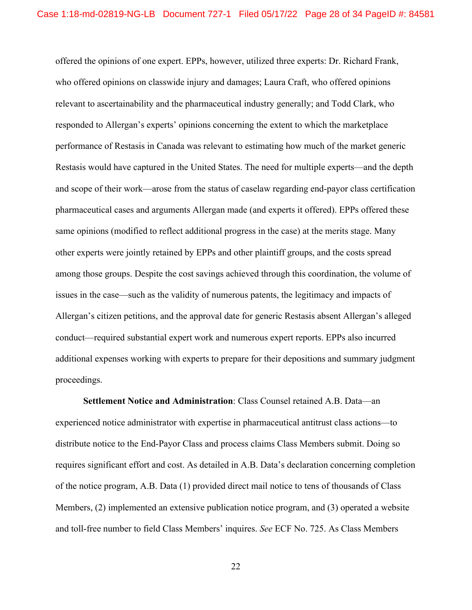offered the opinions of one expert. EPPs, however, utilized three experts: Dr. Richard Frank, who offered opinions on classwide injury and damages; Laura Craft, who offered opinions relevant to ascertainability and the pharmaceutical industry generally; and Todd Clark, who responded to Allergan's experts' opinions concerning the extent to which the marketplace performance of Restasis in Canada was relevant to estimating how much of the market generic Restasis would have captured in the United States. The need for multiple experts—and the depth and scope of their work—arose from the status of caselaw regarding end-payor class certification pharmaceutical cases and arguments Allergan made (and experts it offered). EPPs offered these same opinions (modified to reflect additional progress in the case) at the merits stage. Many other experts were jointly retained by EPPs and other plaintiff groups, and the costs spread among those groups. Despite the cost savings achieved through this coordination, the volume of issues in the case—such as the validity of numerous patents, the legitimacy and impacts of Allergan's citizen petitions, and the approval date for generic Restasis absent Allergan's alleged conduct—required substantial expert work and numerous expert reports. EPPs also incurred additional expenses working with experts to prepare for their depositions and summary judgment proceedings.

**Settlement Notice and Administration**: Class Counsel retained A.B. Data—an experienced notice administrator with expertise in pharmaceutical antitrust class actions—to distribute notice to the End-Payor Class and process claims Class Members submit. Doing so requires significant effort and cost. As detailed in A.B. Data's declaration concerning completion of the notice program, A.B. Data (1) provided direct mail notice to tens of thousands of Class Members, (2) implemented an extensive publication notice program, and (3) operated a website and toll-free number to field Class Members' inquires. *See* ECF No. 725. As Class Members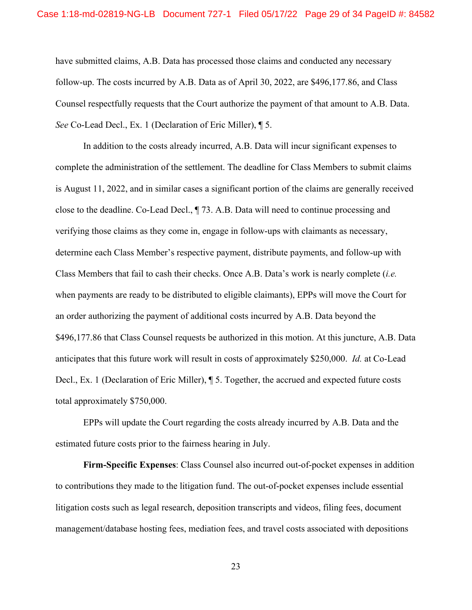have submitted claims, A.B. Data has processed those claims and conducted any necessary follow-up. The costs incurred by A.B. Data as of April 30, 2022, are \$496,177.86, and Class Counsel respectfully requests that the Court authorize the payment of that amount to A.B. Data. *See* Co-Lead Decl., Ex. 1 (Declaration of Eric Miller), ¶ 5.

In addition to the costs already incurred, A.B. Data will incur significant expenses to complete the administration of the settlement. The deadline for Class Members to submit claims is August 11, 2022, and in similar cases a significant portion of the claims are generally received close to the deadline. Co-Lead Decl., ¶ 73. A.B. Data will need to continue processing and verifying those claims as they come in, engage in follow-ups with claimants as necessary, determine each Class Member's respective payment, distribute payments, and follow-up with Class Members that fail to cash their checks. Once A.B. Data's work is nearly complete (*i.e.* when payments are ready to be distributed to eligible claimants), EPPs will move the Court for an order authorizing the payment of additional costs incurred by A.B. Data beyond the \$496,177.86 that Class Counsel requests be authorized in this motion. At this juncture, A.B. Data anticipates that this future work will result in costs of approximately \$250,000. *Id.* at Co-Lead Decl., Ex. 1 (Declaration of Eric Miller), ¶ 5. Together, the accrued and expected future costs total approximately \$750,000.

EPPs will update the Court regarding the costs already incurred by A.B. Data and the estimated future costs prior to the fairness hearing in July.

**Firm-Specific Expenses**: Class Counsel also incurred out-of-pocket expenses in addition to contributions they made to the litigation fund. The out-of-pocket expenses include essential litigation costs such as legal research, deposition transcripts and videos, filing fees, document management/database hosting fees, mediation fees, and travel costs associated with depositions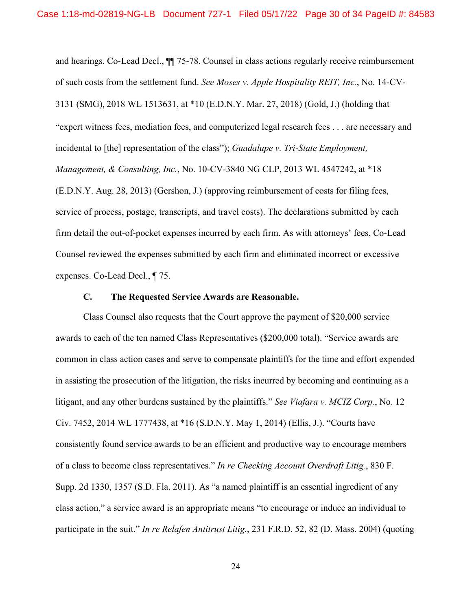and hearings. Co-Lead Decl., ¶¶ 75-78. Counsel in class actions regularly receive reimbursement of such costs from the settlement fund. *See Moses v. Apple Hospitality REIT, Inc.*, No. 14-CV-3131 (SMG), 2018 WL 1513631, at \*10 (E.D.N.Y. Mar. 27, 2018) (Gold, J.) (holding that "expert witness fees, mediation fees, and computerized legal research fees . . . are necessary and incidental to [the] representation of the class"); *Guadalupe v. Tri-State Employment, Management, & Consulting, Inc.*, No. 10-CV-3840 NG CLP, 2013 WL 4547242, at \*18 (E.D.N.Y. Aug. 28, 2013) (Gershon, J.) (approving reimbursement of costs for filing fees, service of process, postage, transcripts, and travel costs). The declarations submitted by each firm detail the out-of-pocket expenses incurred by each firm. As with attorneys' fees, Co-Lead Counsel reviewed the expenses submitted by each firm and eliminated incorrect or excessive expenses. Co-Lead Decl., ¶ 75.

# **C. The Requested Service Awards are Reasonable.**

<span id="page-29-0"></span>Class Counsel also requests that the Court approve the payment of \$20,000 service awards to each of the ten named Class Representatives (\$200,000 total). "Service awards are common in class action cases and serve to compensate plaintiffs for the time and effort expended in assisting the prosecution of the litigation, the risks incurred by becoming and continuing as a litigant, and any other burdens sustained by the plaintiffs." *See Viafara v. MCIZ Corp.*, No. 12 Civ. 7452, 2014 WL 1777438, at \*16 (S.D.N.Y. May 1, 2014) (Ellis, J.). "Courts have consistently found service awards to be an efficient and productive way to encourage members of a class to become class representatives." *In re Checking Account Overdraft Litig.*, 830 F. Supp. 2d 1330, 1357 (S.D. Fla. 2011). As "a named plaintiff is an essential ingredient of any class action," a service award is an appropriate means "to encourage or induce an individual to participate in the suit." *In re Relafen Antitrust Litig.*, 231 F.R.D. 52, 82 (D. Mass. 2004) (quoting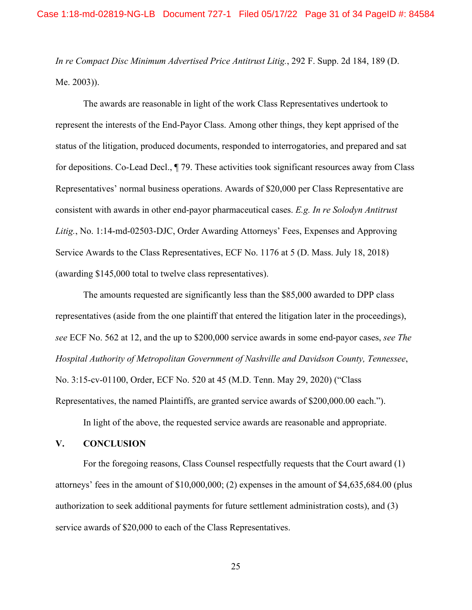*In re Compact Disc Minimum Advertised Price Antitrust Litig.*, 292 F. Supp. 2d 184, 189 (D. Me. 2003)).

The awards are reasonable in light of the work Class Representatives undertook to represent the interests of the End-Payor Class. Among other things, they kept apprised of the status of the litigation, produced documents, responded to interrogatories, and prepared and sat for depositions. Co-Lead Decl., ¶ 79. These activities took significant resources away from Class Representatives' normal business operations. Awards of \$20,000 per Class Representative are consistent with awards in other end-payor pharmaceutical cases. *E.g. In re Solodyn Antitrust Litig.*, No. 1:14-md-02503-DJC, Order Awarding Attorneys' Fees, Expenses and Approving Service Awards to the Class Representatives, ECF No. 1176 at 5 (D. Mass. July 18, 2018) (awarding \$145,000 total to twelve class representatives).

The amounts requested are significantly less than the \$85,000 awarded to DPP class representatives (aside from the one plaintiff that entered the litigation later in the proceedings), *see* ECF No. 562 at 12, and the up to \$200,000 service awards in some end-payor cases, *see The Hospital Authority of Metropolitan Government of Nashville and Davidson County, Tennessee*, No. 3:15-cv-01100, Order, ECF No. 520 at 45 (M.D. Tenn. May 29, 2020) ("Class Representatives, the named Plaintiffs, are granted service awards of \$200,000.00 each.").

In light of the above, the requested service awards are reasonable and appropriate.

## <span id="page-30-0"></span>**V. CONCLUSION**

For the foregoing reasons, Class Counsel respectfully requests that the Court award (1) attorneys' fees in the amount of \$10,000,000; (2) expenses in the amount of \$4,635,684.00 (plus authorization to seek additional payments for future settlement administration costs), and (3) service awards of \$20,000 to each of the Class Representatives.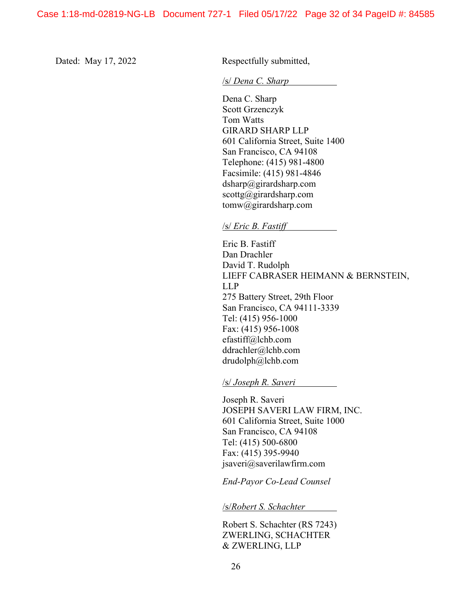Dated: May 17, 2022 Respectfully submitted,

/s/ *Dena C. Sharp*

Dena C. Sharp Scott Grzenczyk Tom Watts GIRARD SHARP LLP 601 California Street, Suite 1400 San Francisco, CA 94108 Telephone: (415) 981-4800 Facsimile: (415) 981-4846 dsharp@girardsharp.com scottg@girardsharp.com tomw@girardsharp.com

#### /s/ *Eric B. Fastiff*

Eric B. Fastiff Dan Drachler David T. Rudolph LIEFF CABRASER HEIMANN & BERNSTEIN, LLP 275 Battery Street, 29th Floor San Francisco, CA 94111-3339 Tel: (415) 956-1000 Fax: (415) 956-1008 efastiff@lchb.com ddrachler@lchb.com drudolph@lchb.com

/s/ *Joseph R. Saveri* 

Joseph R. Saveri JOSEPH SAVERI LAW FIRM, INC. 601 California Street, Suite 1000 San Francisco, CA 94108 Tel: (415) 500-6800 Fax: (415) 395-9940 jsaveri@saverilawfirm.com

*End-Payor Co-Lead Counsel* 

/s/*Robert S. Schachter*

Robert S. Schachter (RS 7243) ZWERLING, SCHACHTER & ZWERLING, LLP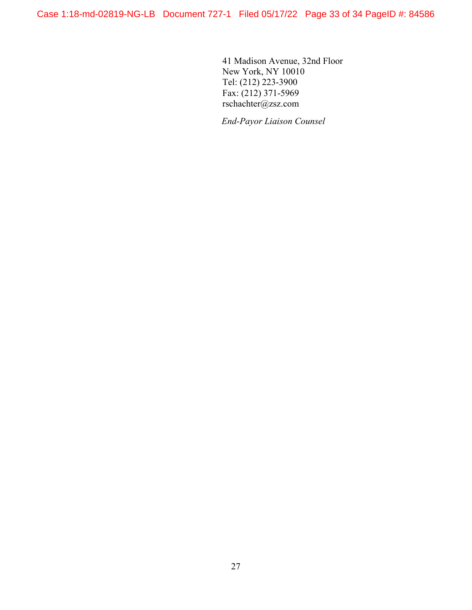41 Madison Avenue, 32nd Floor New York, NY 10010 Tel: (212) 223-3900 Fax: (212) 371-5969 rschachter@zsz.com

*End-Payor Liaison Counsel*